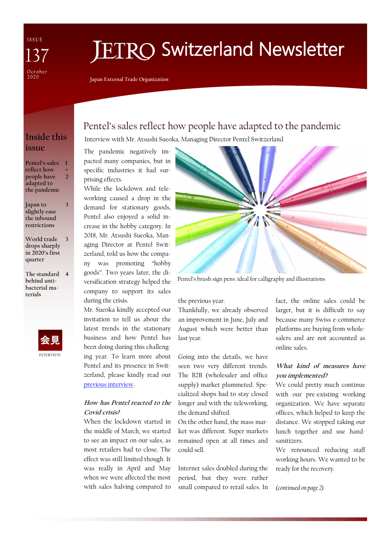ISSUE October

# **FTRO Switzerland Newsletter**

**Japan External Trade Organization**

## **Inside this issue**

**Pentel's sales 1 reflect how people have adapted to the pandemic + 2**

**Japan to slightly ease the inbound restrictions**

**3**

**World trade drops sharply in 2020's first quarter 3**

**The standard 4 behind antibacterial materials**



## Pentel's sales reflect how people have adapted to the pandemic

Interview with Mr. Atsushi Sueoka, Managing Director Pentel Switzerland

The pandemic negatively impacted many companies, but in specific industries it had surprising effects.

While the lockdown and teleworking caused a drop in the demand for stationary goods, Pentel also enjoyed a solid increase in the hobby category. In 2018, Mr. Atsushi Sueoka, Managing Director at Pentel Switzerland, told us how the company was promoting "hobby goods". Two years later, the diversification strategy helped the company to support its sales during the crisis.

Mr. Sueoka kindly accepted our invitation to tell us about the latest trends in the stationary business and how Pentel has been doing during this challenging year. To learn more about Pentel and its presence in Switzerland, please kindly read our [previous interview.](https://www.jetro.go.jp/ext_images/switzerland/newsletter/Newsletter_2018/newsletter108.pdf) 

#### **How has Pentel reacted to the Covid crisis?**

When the lockdown started in the middle of March, we started to see an impact on our sales, as most retailers had to close. The effect was still limited though. It was really in April and May when we were affected the most with sales halving compared to



Pentel's brush sign pens: ideal for calligraphy and illustrations

the previous year.

Thankfully, we already observed an improvement in June, July and August which were better than last year.

Going into the details, we have seen two very different trends. The B2B (wholesaler and office supply) market plummeted. Specialized shops had to stay closed longer and with the teleworking, the demand shifted.

On the other hand, the mass market was different. Super markets remained open at all times and could sell.

Internet sales doubled during the period, but they were rather small compared to retail sales. In

fact, the online sales could be larger, but it is difficult to say because many Swiss e-commerce platforms are buying from wholesalers and are not accounted as online sales.

#### **What kind of measures have you implemented?**

We could pretty much continue with our pre-existing working organization. We have separate offices, which helped to keep the distance. We stopped taking our lunch together and use handsanitizers.

We renounced reducing staff working hours. We wanted to be ready for the recovery.

#### *(continued on page 2)*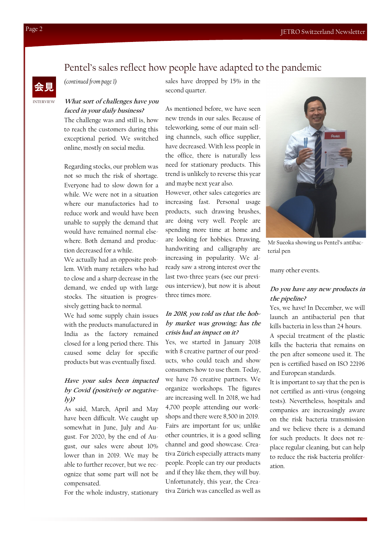## Pentel's sales reflect how people have adapted to the pandemic



*(continued from page 1)*

sales have dropped by 15% in the second quarter.

**What sort of challenges have you faced in your daily business?**

The challenge was and still is, how to reach the customers during this exceptional period. We switched online, mostly on social media.

Regarding stocks, our problem was not so much the risk of shortage. Everyone had to slow down for a while. We were not in a situation where our manufactories had to reduce work and would have been unable to supply the demand that would have remained normal elsewhere. Both demand and production decreased for a while.

We actually had an opposite problem. With many retailers who had to close and a sharp decrease in the demand, we ended up with large stocks. The situation is progressively getting back to normal.

We had some supply chain issues with the products manufactured in India as the factory remained closed for a long period there. This caused some delay for specific products but was eventually fixed.

#### **Have your sales been impacted by Covid (positively or negatively)?**

As said, March, April and May have been difficult. We caught up somewhat in June, July and August. For 2020, by the end of August, our sales were about 10% lower than in 2019. We may be able to further recover, but we recognize that some part will not be compensated.

For the whole industry, stationary

As mentioned before, we have seen new trends in our sales. Because of teleworking, some of our main selling channels, such office supplier, have decreased. With less people in the office, there is naturally less need for stationary products. This trend is unlikely to reverse this year and maybe next year also.

However, other sales categories are increasing fast. Personal usage products, such drawing brushes, are doing very well. People are spending more time at home and are looking for hobbies. Drawing, handwriting and calligraphy are increasing in popularity. We already saw a strong interest over the last two-three years (see our previous interview), but now it is about three times more.

#### **In 2018, you told us that the hobby market was growing; has the crisis had an impact on it?**

Yes, we started in January 2018 with 8 creative partner of our products, who could teach and show consumers how to use them. Today, we have 76 creative partners. We organize workshops. The figures are increasing well. In 2018, we had 4,700 people attending our workshops and there were 8,500 in 2019. Fairs are important for us; unlike other countries, it is a good selling channel and good showcase. Creativa Zürich especially attracts many people. People can try our products and if they like them, they will buy. Unfortunately, this year, the Creativa Zürich was cancelled as well as



Mr Sueoka showing us Pentel's antibacterial pen

many other events.

#### **Do you have any new products in the pipeline?**

Yes, we have! In December, we will launch an antibacterial pen that kills bacteria in less than 24 hours.

A special treatment of the plastic kills the bacteria that remains on the pen after someone used it. The pen is certified based on ISO 22196 and European standards.

It is important to say that the pen is not certified as anti-virus (ongoing tests). Nevertheless, hospitals and companies are increasingly aware on the risk bacteria transmission and we believe there is a demand for such products. It does not replace regular cleaning, but can help to reduce the risk bacteria proliferation.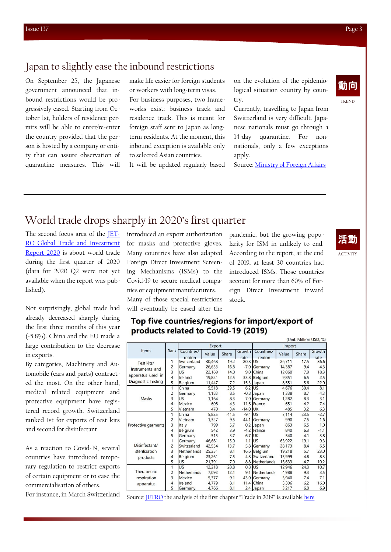### Japan to slightly ease the inbound restrictions

On September 25, the Japanese government announced that inbound restrictions would be progressively eased. Starting from October 1st, holders of residence permits will be able to enter/re-enter the country provided that the person is hosted by a company or entity that can assure observation of quarantine measures. This will

make life easier for foreign students or workers with long-term visas. For business purposes, two frameworks exist: business track and residence track. This is meant for foreign staff sent to Japan as longterm residents. At the moment, this inbound exception is available only to selected Asian countries.

It will be updated regularly based

on the evolution of the epidemiological situation country by country.

Currently, travelling to Japan from Switzerland is very difficult. Japanese nationals must go through a 14-day quarantine. For nonnationals, only a few exceptions apply.

Source: [Ministry of Foreign Affairs](https://www.mofa.go.jp/ca/cp/page22e_000925.html#ct02)

## World trade drops sharply in 2020's first quarter

The second focus area of the [JET-](https://www.jetro.go.jp/en/news/releases/2020/b79a1ae9c1af7f8d.html)[RO Global Trade and Investment](https://www.jetro.go.jp/en/news/releases/2020/b79a1ae9c1af7f8d.html)  [Report 2020](https://www.jetro.go.jp/en/news/releases/2020/b79a1ae9c1af7f8d.html) is about world trade during the first quarter of 2020 (data for 2020 Q2 were not yet available when the report was published).

Not surprisingly, global trade had already decreased sharply during the first three months of this year (-5.8%). China and the EU made a large contribution to the decrease in exports.

By categories, Machinery and Automobile (cars and parts) contracted the most. On the other hand, medical related equipment and protective equipment have registered record growth. Switzerland ranked 1st for exports of test kits and second for disinfectant.

As a reaction to Covid-19, several countries have introduced temporary regulation to restrict exports of certain equipment or to ease the commercialisation of others.

For instance, in March Switzerland

introduced an export authorization for masks and protective gloves. Many countries have also adapted Foreign Direct Investment Screening Mechanisms (ISMs) to the Covid-19 to secure medical companies or equipment manufacturers. Many of those special restrictions will eventually be eased after the

pandemic, but the growing popularity for ISM in unlikely to end. According to the report, at the end of 2019, at least 30 countries had introduced ISMs. Those countries account for more than 60% of Foreign Direct Investment inward stock.

(Unit: Million USD %)

#### Top five countries/regions for import/export of products related to Covid-19 (2019)

| Items                                                             | Rank                    | Export               |        |       |                | Import               |        |       |                |
|-------------------------------------------------------------------|-------------------------|----------------------|--------|-------|----------------|----------------------|--------|-------|----------------|
|                                                                   |                         | Countries/<br>region | Value  | Share | Growth<br>rate | Countries/<br>region | Value  | Share | Growth<br>rate |
| Test kits/                                                        | 1                       | Switzerland          | 30,468 | 19.2  | 20.8           | lus                  | 26,711 | 17.5  | 36.6           |
| Instruments and<br>apparatus used in<br><b>Diagnostic Testing</b> | $\overline{c}$          | Germany              | 26,653 | 16.8  | $-7.0$         | Germany              | 14,387 | 9.4   | 4.3            |
|                                                                   | $\overline{3}$          | <b>US</b>            | 22.169 | 14.0  | 9.0            | China                | 12.060 | 7.9   | 18.3           |
|                                                                   | $\overline{4}$          | Ireland              | 19,821 | 12.5  | 33.8           | Belgium              | 9,851  | 6.5   | 2.5            |
|                                                                   | 5                       | Belgium              | 11,447 | 7.2   | 15.3           | Japan                | 8.551  | 5.6   | 22.0           |
| Masks                                                             | 1                       | China                | 5,518  | 39.5  | 6.2            | US                   | 4.676  | 30.4  | 8.1            |
|                                                                   | $\overline{2}$          | Germany              | 1.183  | 8.5   |                | $-0.8$ Japan         | 1.338  | 8.7   | 4.3            |
|                                                                   | 3                       | <b>US</b>            | 1,164  | 8.3   | 7.0            | Germany              | 1,282  | 8.3   | 3.1            |
|                                                                   | $\overline{4}$          | Mexico               | 606    | 4.3   |                | 11.6 France          | 651    | 4.2   | 7.4            |
|                                                                   | 5                       | Vietnam              | 470    | 3.4   | $-14.0$        | <b>IUK</b>           | 485    | 3.2   | 6.3            |
| Protective garments                                               | 1                       | China                | 5,825  | 41.5  | $-9.4$         | lus                  | 3.114  | 23.5  | $-2.7$         |
|                                                                   | $\overline{c}$          | Vietnam              | 1,327  | 9.5   | 44.1           | Germany              | 990    | 7.5   | 1.6            |
|                                                                   | $\overline{\mathbf{3}}$ | Italy                | 799    | 5.7   | 0.2            | Japan                | 863    | 6.5   | 1.0            |
|                                                                   | $\overline{4}$          | Belgium              | 542    | 3.9   | $-4.2$         | France               | 840    | 6.3   | $-1.1$         |
|                                                                   | 5                       | Germany              | 515    | 3.7   | 6.7            | <b>UK</b>            | 540    | 4.1   | $-3.8$         |
| Disinfectant/<br>sterilization<br>products                        | 1                       | Germany              | 46,661 | 15.0  | 1.1            | US                   | 63.922 | 19.1  | 9.3            |
|                                                                   | $\overline{2}$          | Switzerland          | 42.534 | 13.7  | 5.8            | <b>Germany</b>       | 28.173 | 8.4   | 6.5            |
|                                                                   | 3                       | Netherlands          | 25,251 | 8.1   | 16.6           | Belgium              | 19,218 | 5.7   | 23.0           |
|                                                                   | $\overline{4}$          | Belgium              | 23.261 | 7.5   | 4.8            | Switzerland          | 15.999 | 4.8   | 8.3            |
|                                                                   | 5                       | <b>US</b>            | 21,791 | 7.0   | 8.8            | Netherlands          | 15,633 | 4.7   | 10.2           |
| Therapeutic                                                       | 1                       | US                   | 12,218 | 20.8  | 0.8            | <b>IUS</b>           | 12.946 | 24.3  | 10.7           |
|                                                                   | $\overline{2}$          | Netherlands          | 7,092  | 12.1  | 9.1            | Netherlands          | 4,988  | 9.3   | 3.5            |
| respiration                                                       | 3                       | Mexico               | 5,377  | 9.1   | 43.0           | Germany              | 3,940  | 7.4   | 7.1            |
| apparatus                                                         | $\overline{4}$          | Ireland              | 4.779  | 8.1   | 11.4           | China                | 3.306  | 6.2   | 16.0           |
|                                                                   | 5                       | Germany              | 4,766  | 8.1   |                | 2.4 Japan            | 3,217  | 6.0   | 6.9            |

Source: **[JETRO](https://www.jetro.go.jp/en/news/releases/2020/b79a1ae9c1af7f8d.html)** the analysis of the first chapter "Trade in 2019" is available [here](https://www.jetro.go.jp/ext_images/switzerland/newsletter/Newsletter_2020/newsletter135.pdf)

#### ACTIVITY